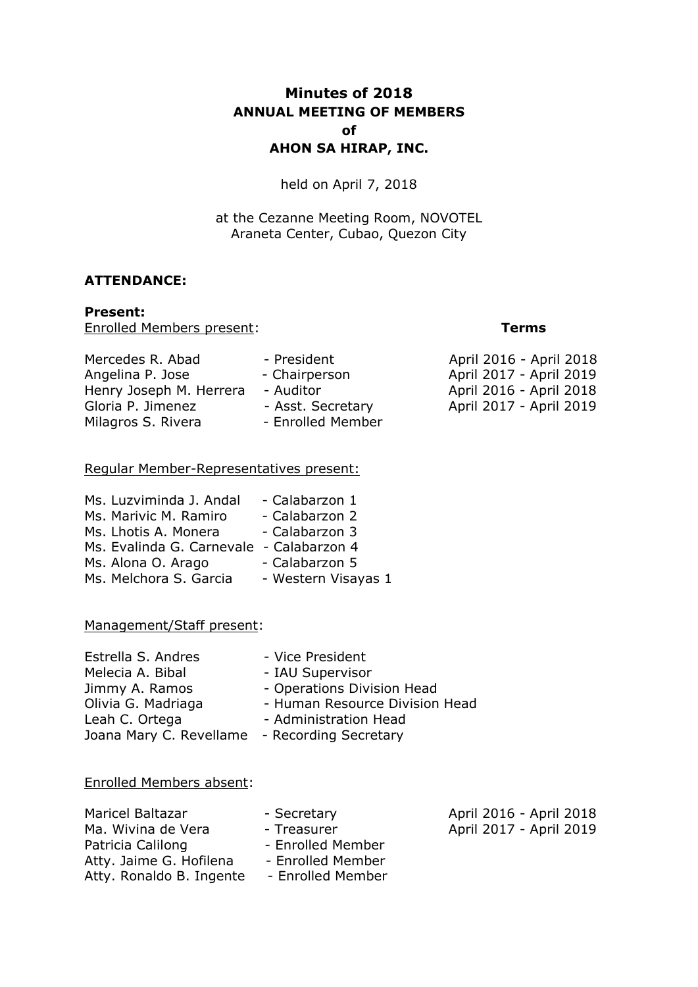# **Minutes of 2018 ANNUAL MEETING OF MEMBERS of AHON SA HIRAP, INC.**

held on April 7, 2018

at the Cezanne Meeting Room, NOVOTEL Araneta Center, Cubao, Quezon City

#### **ATTENDANCE:**

#### **Present:**

Enrolled Members present: **Terms**

| Mercedes R. Abad        | - President       |
|-------------------------|-------------------|
| Angelina P. Jose        | - Chairperson     |
| Henry Joseph M. Herrera | - Auditor         |
| Gloria P. Jimenez       | - Asst. Secretary |
| Milagros S. Rivera      | - Enrolled Member |

#### Regular Member-Representatives present:

| Ms. Luzviminda J. Andal                  | - Calabarzon 1      |
|------------------------------------------|---------------------|
| Ms. Marivic M. Ramiro                    | - Calabarzon 2      |
| Ms. Lhotis A. Monera                     | - Calabarzon 3      |
| Ms. Evalinda G. Carnevale - Calabarzon 4 |                     |
| Ms. Alona O. Arago                       | - Calabarzon 5      |
| Ms. Melchora S. Garcia                   | - Western Visayas 1 |

#### Management/Staff present:

| Estrella S. Andres                            | - Vice President               |
|-----------------------------------------------|--------------------------------|
| Melecia A. Bibal                              | - IAU Supervisor               |
| Jimmy A. Ramos                                | - Operations Division Head     |
| Olivia G. Madriaga                            | - Human Resource Division Head |
| Leah C. Ortega                                | - Administration Head          |
| Joana Mary C. Revellame - Recording Secretary |                                |

#### Enrolled Members absent:

| Maricel Baltazar         | - Secretary       | April 2016 - April 2018 |
|--------------------------|-------------------|-------------------------|
| Ma. Wivina de Vera       | - Treasurer       | April 2017 - April 2019 |
| Patricia Calilong        | - Enrolled Member |                         |
| Atty. Jaime G. Hofilena  | - Enrolled Member |                         |
| Atty. Ronaldo B. Ingente | - Enrolled Member |                         |

April 2016 - April 2018 April 2017 - April 2019 April 2016 - April 2018 April 2017 - April 2019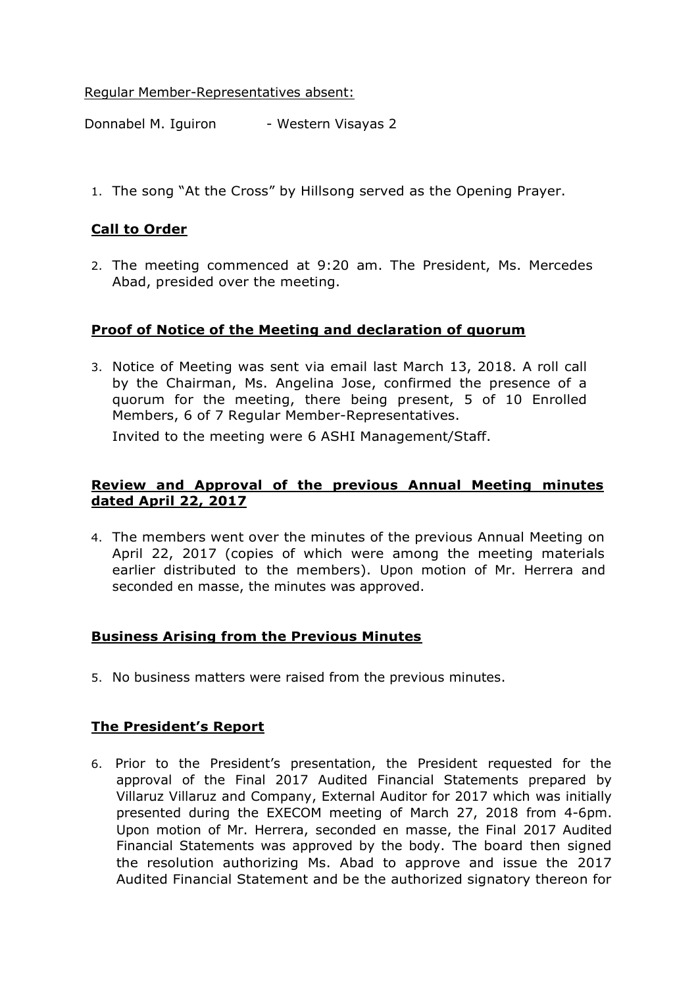Regular Member-Representatives absent:

Donnabel M. Iguiron - Western Visayas 2

1. The song "At the Cross" by Hillsong served as the Opening Prayer.

## **Call to Order**

2. The meeting commenced at 9:20 am. The President, Ms. Mercedes Abad, presided over the meeting.

## **Proof of Notice of the Meeting and declaration of quorum**

3. Notice of Meeting was sent via email last March 13, 2018. A roll call by the Chairman, Ms. Angelina Jose, confirmed the presence of a quorum for the meeting, there being present, 5 of 10 Enrolled Members, 6 of 7 Regular Member-Representatives.

Invited to the meeting were 6 ASHI Management/Staff.

#### **Review and Approval of the previous Annual Meeting minutes dated April 22, 2017**

4. The members went over the minutes of the previous Annual Meeting on April 22, 2017 (copies of which were among the meeting materials earlier distributed to the members). Upon motion of Mr. Herrera and seconded en masse, the minutes was approved.

## **Business Arising from the Previous Minutes**

5. No business matters were raised from the previous minutes.

# **The President's Report**

6. Prior to the President's presentation, the President requested for the approval of the Final 2017 Audited Financial Statements prepared by Villaruz Villaruz and Company, External Auditor for 2017 which was initially presented during the EXECOM meeting of March 27, 2018 from 4-6pm. Upon motion of Mr. Herrera, seconded en masse, the Final 2017 Audited Financial Statements was approved by the body. The board then signed the resolution authorizing Ms. Abad to approve and issue the 2017 Audited Financial Statement and be the authorized signatory thereon for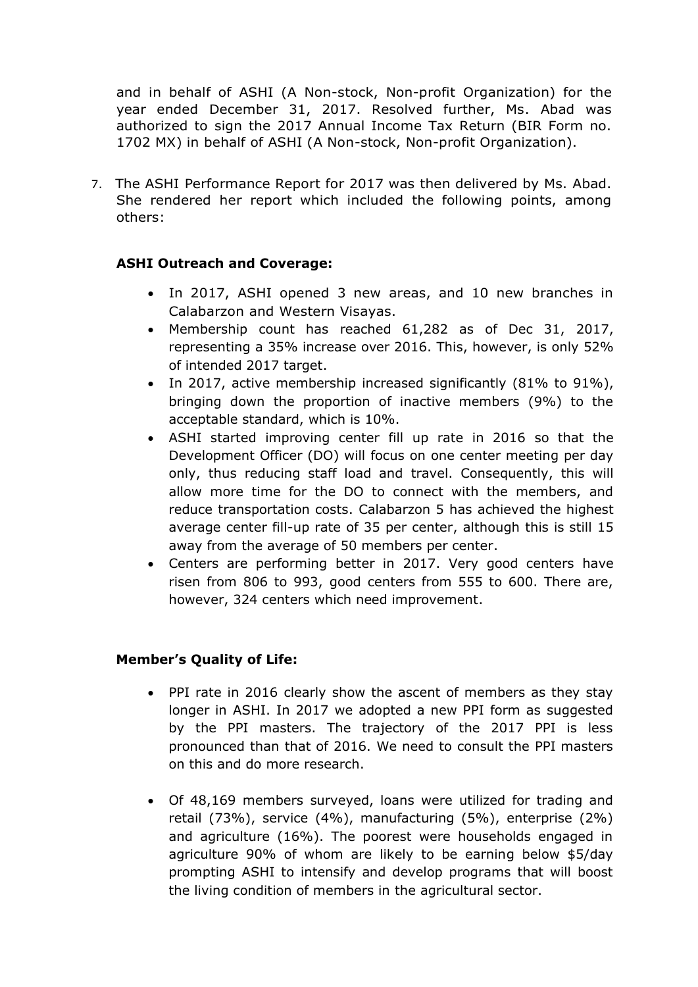and in behalf of ASHI (A Non-stock, Non-profit Organization) for the year ended December 31, 2017. Resolved further, Ms. Abad was authorized to sign the 2017 Annual Income Tax Return (BIR Form no. 1702 MX) in behalf of ASHI (A Non-stock, Non-profit Organization).

7. The ASHI Performance Report for 2017 was then delivered by Ms. Abad. She rendered her report which included the following points, among others:

## **ASHI Outreach and Coverage:**

- In 2017, ASHI opened 3 new areas, and 10 new branches in Calabarzon and Western Visayas.
- Membership count has reached 61,282 as of Dec 31, 2017, representing a 35% increase over 2016. This, however, is only 52% of intended 2017 target.
- In 2017, active membership increased significantly (81% to 91%), bringing down the proportion of inactive members (9%) to the acceptable standard, which is 10%.
- ASHI started improving center fill up rate in 2016 so that the Development Officer (DO) will focus on one center meeting per day only, thus reducing staff load and travel. Consequently, this will allow more time for the DO to connect with the members, and reduce transportation costs. Calabarzon 5 has achieved the highest average center fill-up rate of 35 per center, although this is still 15 away from the average of 50 members per center.
- Centers are performing better in 2017. Very good centers have risen from 806 to 993, good centers from 555 to 600. There are, however, 324 centers which need improvement.

## **Member's Quality of Life:**

- PPI rate in 2016 clearly show the ascent of members as they stay longer in ASHI. In 2017 we adopted a new PPI form as suggested by the PPI masters. The trajectory of the 2017 PPI is less pronounced than that of 2016. We need to consult the PPI masters on this and do more research.
- Of 48,169 members surveyed, loans were utilized for trading and retail (73%), service (4%), manufacturing (5%), enterprise (2%) and agriculture (16%). The poorest were households engaged in agriculture 90% of whom are likely to be earning below \$5/day prompting ASHI to intensify and develop programs that will boost the living condition of members in the agricultural sector.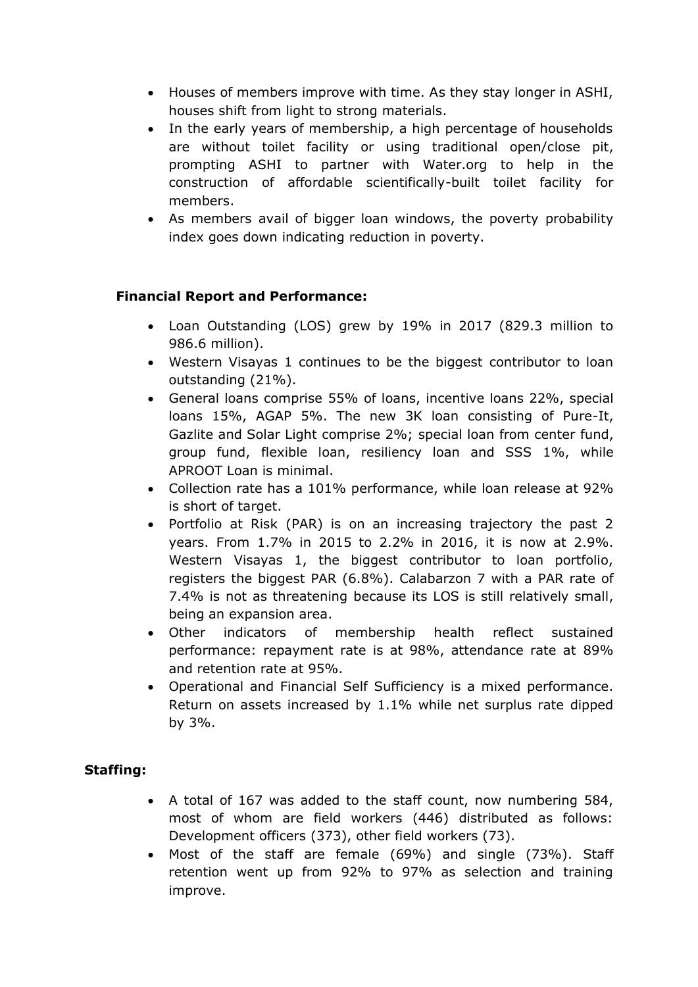- Houses of members improve with time. As they stay longer in ASHI, houses shift from light to strong materials.
- In the early years of membership, a high percentage of households are without toilet facility or using traditional open/close pit, prompting ASHI to partner with Water.org to help in the construction of affordable scientifically-built toilet facility for members.
- As members avail of bigger loan windows, the poverty probability index goes down indicating reduction in poverty.

# **Financial Report and Performance:**

- Loan Outstanding (LOS) grew by 19% in 2017 (829.3 million to 986.6 million).
- Western Visayas 1 continues to be the biggest contributor to loan outstanding (21%).
- General loans comprise 55% of loans, incentive loans 22%, special loans 15%, AGAP 5%. The new 3K loan consisting of Pure-It, Gazlite and Solar Light comprise 2%; special loan from center fund, group fund, flexible loan, resiliency loan and SSS 1%, while APROOT Loan is minimal.
- Collection rate has a 101% performance, while loan release at 92% is short of target.
- Portfolio at Risk (PAR) is on an increasing trajectory the past 2 years. From 1.7% in 2015 to 2.2% in 2016, it is now at 2.9%. Western Visayas 1, the biggest contributor to loan portfolio, registers the biggest PAR (6.8%). Calabarzon 7 with a PAR rate of 7.4% is not as threatening because its LOS is still relatively small, being an expansion area.
- Other indicators of membership health reflect sustained performance: repayment rate is at 98%, attendance rate at 89% and retention rate at 95%.
- Operational and Financial Self Sufficiency is a mixed performance. Return on assets increased by 1.1% while net surplus rate dipped by 3%.

# **Staffing:**

- A total of 167 was added to the staff count, now numbering 584, most of whom are field workers (446) distributed as follows: Development officers (373), other field workers (73).
- Most of the staff are female (69%) and single (73%). Staff retention went up from 92% to 97% as selection and training improve.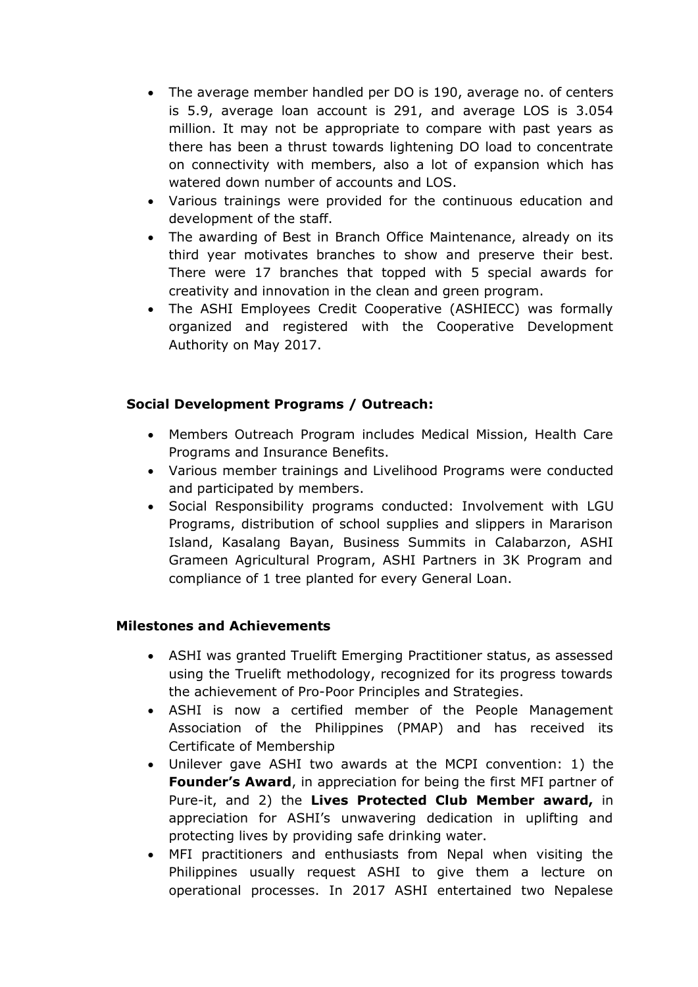- The average member handled per DO is 190, average no. of centers is 5.9, average loan account is 291, and average LOS is 3.054 million. It may not be appropriate to compare with past years as there has been a thrust towards lightening DO load to concentrate on connectivity with members, also a lot of expansion which has watered down number of accounts and LOS.
- Various trainings were provided for the continuous education and development of the staff.
- The awarding of Best in Branch Office Maintenance, already on its third year motivates branches to show and preserve their best. There were 17 branches that topped with 5 special awards for creativity and innovation in the clean and green program.
- The ASHI Employees Credit Cooperative (ASHIECC) was formally organized and registered with the Cooperative Development Authority on May 2017.

# **Social Development Programs / Outreach:**

- Members Outreach Program includes Medical Mission, Health Care Programs and Insurance Benefits.
- Various member trainings and Livelihood Programs were conducted and participated by members.
- Social Responsibility programs conducted: Involvement with LGU Programs, distribution of school supplies and slippers in Mararison Island, Kasalang Bayan, Business Summits in Calabarzon, ASHI Grameen Agricultural Program, ASHI Partners in 3K Program and compliance of 1 tree planted for every General Loan.

## **Milestones and Achievements**

- ASHI was granted Truelift Emerging Practitioner status, as assessed using the Truelift methodology, recognized for its progress towards the achievement of Pro-Poor Principles and Strategies.
- ASHI is now a certified member of the People Management Association of the Philippines (PMAP) and has received its Certificate of Membership
- Unilever gave ASHI two awards at the MCPI convention: 1) the **Founder's Award**, in appreciation for being the first MFI partner of Pure-it, and 2) the **Lives Protected Club Member award,** in appreciation for ASHI's unwavering dedication in uplifting and protecting lives by providing safe drinking water.
- MFI practitioners and enthusiasts from Nepal when visiting the Philippines usually request ASHI to give them a lecture on operational processes. In 2017 ASHI entertained two Nepalese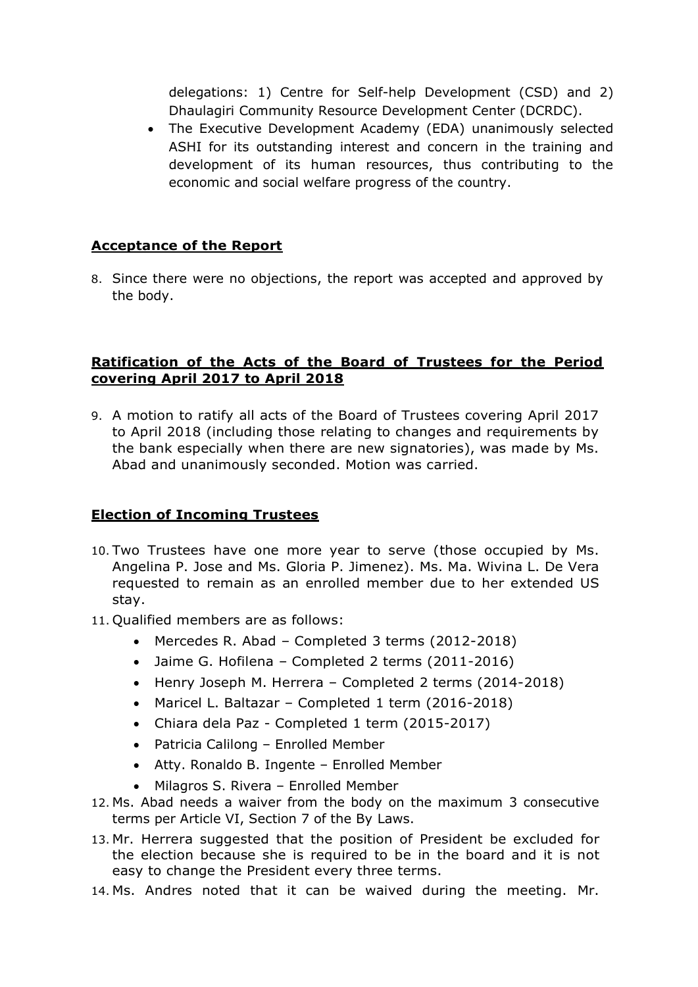delegations: 1) Centre for Self-help Development (CSD) and 2) Dhaulagiri Community Resource Development Center (DCRDC).

 The Executive Development Academy (EDA) unanimously selected ASHI for its outstanding interest and concern in the training and development of its human resources, thus contributing to the economic and social welfare progress of the country.

# **Acceptance of the Report**

8. Since there were no objections, the report was accepted and approved by the body.

## **Ratification of the Acts of the Board of Trustees for the Period covering April 2017 to April 2018**

9. A motion to ratify all acts of the Board of Trustees covering April 2017 to April 2018 (including those relating to changes and requirements by the bank especially when there are new signatories), was made by Ms. Abad and unanimously seconded. Motion was carried.

## **Election of Incoming Trustees**

- 10. Two Trustees have one more year to serve (those occupied by Ms. Angelina P. Jose and Ms. Gloria P. Jimenez). Ms. Ma. Wivina L. De Vera requested to remain as an enrolled member due to her extended US stay.
- 11. Qualified members are as follows:
	- Mercedes R. Abad Completed 3 terms (2012-2018)
	- Jaime G. Hofilena Completed 2 terms (2011-2016)
	- Henry Joseph M. Herrera Completed 2 terms (2014-2018)
	- Maricel L. Baltazar Completed 1 term (2016-2018)
	- Chiara dela Paz Completed 1 term (2015-2017)
	- Patricia Calilong Enrolled Member
	- Atty. Ronaldo B. Ingente Enrolled Member
	- Milagros S. Rivera Enrolled Member
- 12. Ms. Abad needs a waiver from the body on the maximum 3 consecutive terms per Article VI, Section 7 of the By Laws.
- 13. Mr. Herrera suggested that the position of President be excluded for the election because she is required to be in the board and it is not easy to change the President every three terms.
- 14. Ms. Andres noted that it can be waived during the meeting. Mr.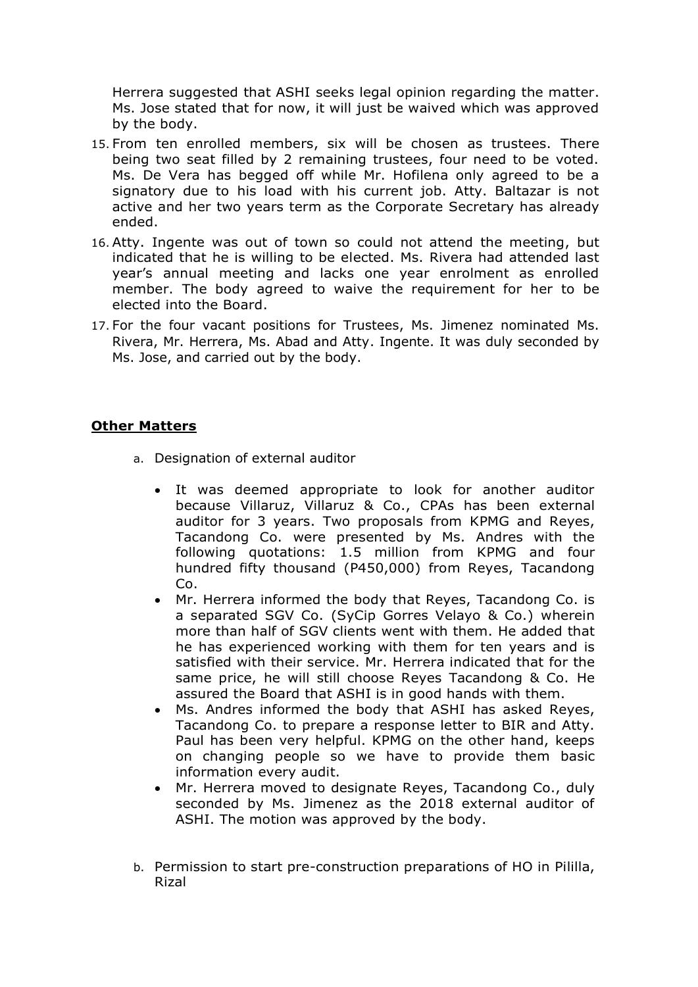Herrera suggested that ASHI seeks legal opinion regarding the matter. Ms. Jose stated that for now, it will just be waived which was approved by the body.

- 15. From ten enrolled members, six will be chosen as trustees. There being two seat filled by 2 remaining trustees, four need to be voted. Ms. De Vera has begged off while Mr. Hofilena only agreed to be a signatory due to his load with his current job. Atty. Baltazar is not active and her two years term as the Corporate Secretary has already ended.
- 16. Atty. Ingente was out of town so could not attend the meeting, but indicated that he is willing to be elected. Ms. Rivera had attended last year's annual meeting and lacks one year enrolment as enrolled member. The body agreed to waive the requirement for her to be elected into the Board.
- 17. For the four vacant positions for Trustees, Ms. Jimenez nominated Ms. Rivera, Mr. Herrera, Ms. Abad and Atty. Ingente. It was duly seconded by Ms. Jose, and carried out by the body.

## **Other Matters**

- a. Designation of external auditor
	- It was deemed appropriate to look for another auditor because Villaruz, Villaruz & Co., CPAs has been external auditor for 3 years. Two proposals from KPMG and Reyes, Tacandong Co. were presented by Ms. Andres with the following quotations: 1.5 million from KPMG and four hundred fifty thousand (P450,000) from Reyes, Tacandong Co.
	- Mr. Herrera informed the body that Reyes, Tacandong Co. is a separated SGV Co. (SyCip Gorres Velayo & Co.) wherein more than half of SGV clients went with them. He added that he has experienced working with them for ten years and is satisfied with their service. Mr. Herrera indicated that for the same price, he will still choose Reyes Tacandong & Co. He assured the Board that ASHI is in good hands with them.
	- Ms. Andres informed the body that ASHI has asked Reyes, Tacandong Co. to prepare a response letter to BIR and Atty. Paul has been very helpful. KPMG on the other hand, keeps on changing people so we have to provide them basic information every audit.
	- Mr. Herrera moved to designate Reyes, Tacandong Co., duly seconded by Ms. Jimenez as the 2018 external auditor of ASHI. The motion was approved by the body.
- b. Permission to start pre-construction preparations of HO in Pililla, Rizal